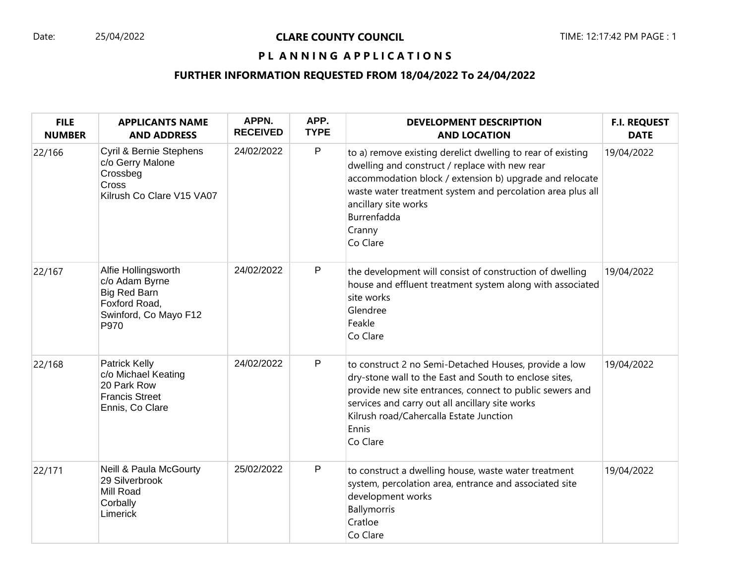# PL ANNING APPLICATIONS

# **FURTHER INFORMATION REQUESTED FROM 18/04/2022 To 24/04/2022**

| <b>FILE</b><br><b>NUMBER</b> | <b>APPLICANTS NAME</b><br><b>AND ADDRESS</b>                                                                   | APPN.<br><b>RECEIVED</b> | APP.<br><b>TYPE</b> | <b>DEVELOPMENT DESCRIPTION</b><br><b>AND LOCATION</b>                                                                                                                                                                                                                                               | <b>F.I. REQUEST</b><br><b>DATE</b> |
|------------------------------|----------------------------------------------------------------------------------------------------------------|--------------------------|---------------------|-----------------------------------------------------------------------------------------------------------------------------------------------------------------------------------------------------------------------------------------------------------------------------------------------------|------------------------------------|
| 22/166                       | Cyril & Bernie Stephens<br>c/o Gerry Malone<br>Crossbeg<br>Cross<br>Kilrush Co Clare V15 VA07                  | 24/02/2022               | $\sf P$             | to a) remove existing derelict dwelling to rear of existing<br>dwelling and construct / replace with new rear<br>accommodation block / extension b) upgrade and relocate<br>waste water treatment system and percolation area plus all<br>ancillary site works<br>Burrenfadda<br>Cranny<br>Co Clare | 19/04/2022                         |
| 22/167                       | Alfie Hollingsworth<br>c/o Adam Byrne<br><b>Big Red Barn</b><br>Foxford Road,<br>Swinford, Co Mayo F12<br>P970 | 24/02/2022               | $\mathsf{P}$        | the development will consist of construction of dwelling<br>house and effluent treatment system along with associated<br>site works<br>Glendree<br>Feakle<br>Co Clare                                                                                                                               | 19/04/2022                         |
| 22/168                       | Patrick Kelly<br>c/o Michael Keating<br>20 Park Row<br><b>Francis Street</b><br>Ennis, Co Clare                | 24/02/2022               | $\mathsf{P}$        | to construct 2 no Semi-Detached Houses, provide a low<br>dry-stone wall to the East and South to enclose sites,<br>provide new site entrances, connect to public sewers and<br>services and carry out all ancillary site works<br>Kilrush road/Cahercalla Estate Junction<br>Ennis<br>Co Clare      | 19/04/2022                         |
| 22/171                       | <b>Neill &amp; Paula McGourty</b><br>29 Silverbrook<br>Mill Road<br>Corbally<br>Limerick                       | 25/02/2022               | P                   | to construct a dwelling house, waste water treatment<br>system, percolation area, entrance and associated site<br>development works<br>Ballymorris<br>Cratloe<br>Co Clare                                                                                                                           | 19/04/2022                         |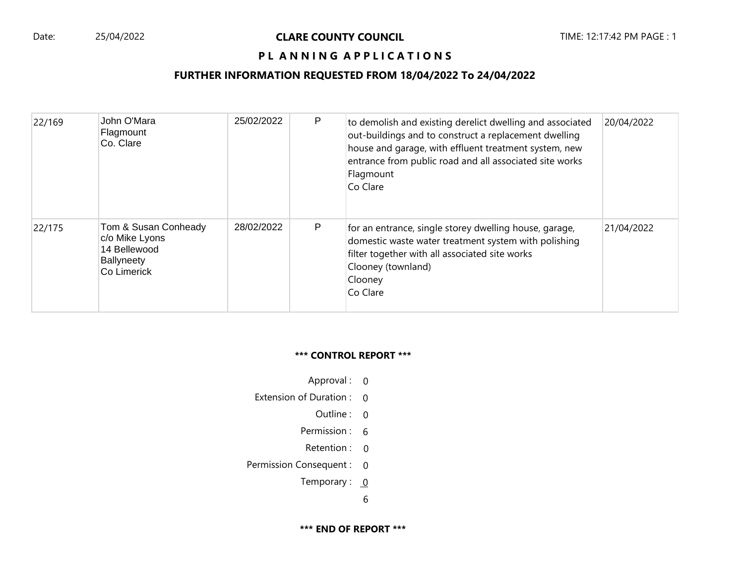#### Date: 25/04/2022 **CLARE COUNTY COUNCIL** TIME: 12:17:42 PM PAGE : 1

# **PL ANNING APPLICATIONS**

# **FURTHER INFORMATION REQUESTED FROM 18/04/2022 To 24/04/2022**

| 22/169 | John O'Mara<br>Flagmount<br>Co. Clare                                                      | 25/02/2022 | P | to demolish and existing derelict dwelling and associated<br>out-buildings and to construct a replacement dwelling<br>house and garage, with effluent treatment system, new<br>entrance from public road and all associated site works<br>Flagmount<br>Co Clare | 20/04/2022 |
|--------|--------------------------------------------------------------------------------------------|------------|---|-----------------------------------------------------------------------------------------------------------------------------------------------------------------------------------------------------------------------------------------------------------------|------------|
| 22/175 | Tom & Susan Conheady<br>c/o Mike Lyons<br>14 Bellewood<br><b>Ballyneety</b><br>Co Limerick | 28/02/2022 | P | for an entrance, single storey dwelling house, garage,<br>domestic waste water treatment system with polishing<br>filter together with all associated site works<br>Clooney (townland)<br>Clooney<br>Co Clare                                                   | 21/04/2022 |

#### **\*\*\* CONTROL REPORT \*\*\***

- Approval : 0
- Extension of Duration : 0
	- Outline : 0
	- Permission : 6
	- Retention : 0
- Permission Consequent : 0
	- Temporary :  $0$

6

**\*\*\* END OF REPORT \*\*\***